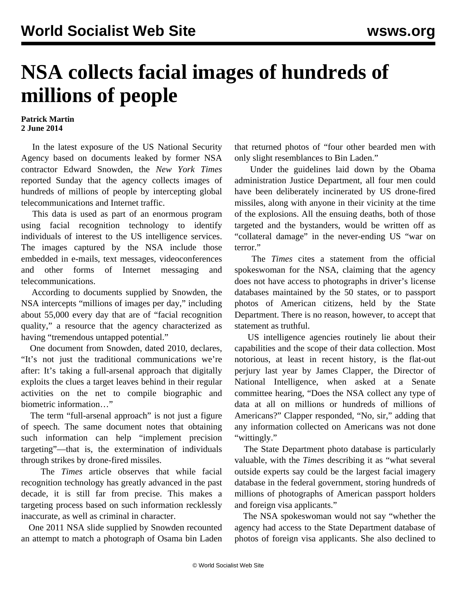## **NSA collects facial images of hundreds of millions of people**

## **Patrick Martin 2 June 2014**

 In the latest exposure of the US National Security Agency based on documents leaked by former NSA contractor Edward Snowden, the *New York Times* reported Sunday that the agency collects images of hundreds of millions of people by intercepting global telecommunications and Internet traffic.

 This data is used as part of an enormous program using facial recognition technology to identify individuals of interest to the US intelligence services. The images captured by the NSA include those embedded in e-mails, text messages, videoconferences and other forms of Internet messaging and telecommunications.

 According to documents supplied by Snowden, the NSA intercepts "millions of images per day," including about 55,000 every day that are of "facial recognition quality," a resource that the agency characterized as having "tremendous untapped potential."

 One document from Snowden, dated 2010, declares, "It's not just the traditional communications we're after: It's taking a full-arsenal approach that digitally exploits the clues a target leaves behind in their regular activities on the net to compile biographic and biometric information…"

 The term "full-arsenal approach" is not just a figure of speech. The same document notes that obtaining such information can help "implement precision targeting"—that is, the extermination of individuals through strikes by drone-fired missiles.

 The *Times* article observes that while facial recognition technology has greatly advanced in the past decade, it is still far from precise. This makes a targeting process based on such information recklessly inaccurate, as well as criminal in character.

 One 2011 NSA slide supplied by Snowden recounted an attempt to match a photograph of Osama bin Laden that returned photos of "four other bearded men with only slight resemblances to Bin Laden."

 Under the guidelines laid down by the Obama administration Justice Department, all four men could have been deliberately incinerated by US drone-fired missiles, along with anyone in their vicinity at the time of the explosions. All the ensuing deaths, both of those targeted and the bystanders, would be written off as "collateral damage" in the never-ending US "war on terror."

 The *Times* cites a statement from the official spokeswoman for the NSA, claiming that the agency does not have access to photographs in driver's license databases maintained by the 50 states, or to passport photos of American citizens, held by the State Department. There is no reason, however, to accept that statement as truthful.

 US intelligence agencies routinely lie about their capabilities and the scope of their data collection. Most notorious, at least in recent history, is the flat-out perjury last year by James Clapper, the Director of National Intelligence, when asked at a Senate committee hearing, "Does the NSA collect any type of data at all on millions or hundreds of millions of Americans?" Clapper responded, "No, sir," adding that any information collected on Americans was not done "wittingly."

 The State Department photo database is particularly valuable, with the *Times* describing it as "what several outside experts say could be the largest facial imagery database in the federal government, storing hundreds of millions of photographs of American passport holders and foreign visa applicants."

 The NSA spokeswoman would not say "whether the agency had access to the State Department database of photos of foreign visa applicants. She also declined to